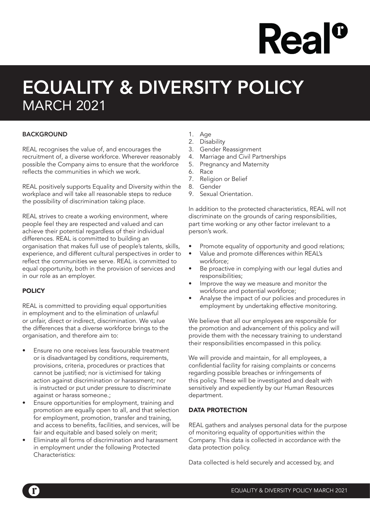# **Rea**

### EQUALITY & DIVERSITY POLICY MARCH 2021

#### **BACKGROUND**

REAL recognises the value of, and encourages the recruitment of, a diverse workforce. Wherever reasonably possible the Company aims to ensure that the workforce reflects the communities in which we work.

REAL positively supports Equality and Diversity within the workplace and will take all reasonable steps to reduce the possibility of discrimination taking place.

REAL strives to create a working environment, where people feel they are respected and valued and can achieve their potential regardless of their individual differences. REAL is committed to building an organisation that makes full use of people's talents, skills, experience, and different cultural perspectives in order to reflect the communities we serve. REAL is committed to equal opportunity, both in the provision of services and in our role as an employer.

#### **POLICY**

REAL is committed to providing equal opportunities in employment and to the elimination of unlawful or unfair, direct or indirect, discrimination. We value the differences that a diverse workforce brings to the organisation, and therefore aim to:

- Ensure no one receives less favourable treatment or is disadvantaged by conditions, requirements, provisions, criteria, procedures or practices that cannot be justified; nor is victimised for taking action against discrimination or harassment; nor is instructed or put under pressure to discriminate against or harass someone.;
- Ensure opportunities for employment, training and promotion are equally open to all, and that selection for employment, promotion, transfer and training, and access to benefits, facilities, and services, will be fair and equitable and based solely on merit;
- Eliminate all forms of discrimination and harassment in employment under the following Protected Characteristics:
- 1. Age
- 2. Disability
- 3. Gender Reassignment
- 4. Marriage and Civil Partnerships
- 5. Pregnancy and Maternity
- 6. Race
- 7. Religion or Belief
- 8. Gender
- 9. Sexual Orientation.

In addition to the protected characteristics, REAL will not discriminate on the grounds of caring responsibilities, part time working or any other factor irrelevant to a person's work.

- Promote equality of opportunity and good relations;
- Value and promote differences within REAL's workforce;
- Be proactive in complying with our legal duties and responsibilities;
- Improve the way we measure and monitor the workforce and potential workforce;
- Analyse the impact of our policies and procedures in employment by undertaking effective monitoring.

We believe that all our employees are responsible for the promotion and advancement of this policy and will provide them with the necessary training to understand their responsibilities encompassed in this policy.

We will provide and maintain, for all employees, a confidential facility for raising complaints or concerns regarding possible breaches or infringements of this policy. These will be investigated and dealt with sensitively and expediently by our Human Resources department.

#### DATA PROTECTION

REAL gathers and analyses personal data for the purpose of monitoring equality of opportunities within the Company. This data is collected in accordance with the data protection policy.

Data collected is held securely and accessed by, and